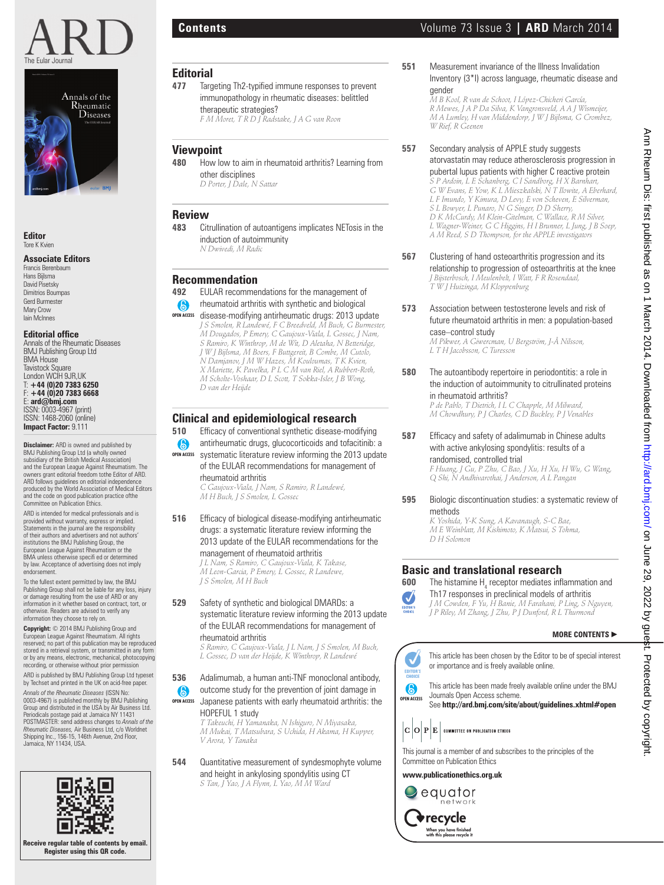



**Editor** Tore K Kvien

#### **Associate Editors**

Francis Berenbaum Hans Bijlsma David Pisetsky Dimitrios Boumpas Gerd Burmester Mary Crow Iain McInnes

### **Editorial office**<br>Annals of the Rheumatic Diseases

BMJ Publishing Group Ltd BMA House Tavistock Square London WCIH 9JR,UK T: **+44 (0)20 7383 6250** F: **+44 (0)20 7383 6668** E: **ard@bmj.com** ISSN: 0003-4967 (print) ISSN: 1468-2060 (online) **Impact Factor:** 9.111

**Disclaimer:** ARD is owned and published by BMJ Publishing Group Ltd (a wholly owned subsidiary of the British Medical Association) and the European League Against Rheumatism. The owners grant editorial freedom tothe Editor of ARD. ARD follows guidelines on editorial independence produced by the World Association of Medical Editors and the code on good publication practice ofthe Committee on Publication Ethics.

ARD is intended for medical professionals and is provided without warranty, express or implied. Statements in the journal are the responsibility of their authors and advertisers and not authors' institutions the BMJ Publishing Group, the European League Against Rheumatism or the BMA unless otherwise specifi ed or determined by law. Acceptance of advertising does not imply endorsement.

To the fullest extent permitted by law, the BMJ Publishing Group shall not be liable for any loss, injury or damage resulting from the use of ARD or any information in it whether based on contract, tort, or otherwise. Readers are advised to verify any information they choose to rely on.

**Copyright:** © 2014 BMJ Publishing Group and European League Against Rheumatism. All rights reserved; no part of this publication may be reproduced stored in a retrieval system, or transmitted in any form or by any means, electronic, mechanical, photocopying recording, or otherwise without prior permission

ARD is published by BMJ Publishing Group Ltd typeset by Techset and printed in the UK on acid-free paper.

*Annals of the Rheumatic Diseases* (ISSN No: 0003-4967) is published monthly by BMJ Publishing Group and distributed in the USA by Air Business Ltd. Periodicals postage paid at Jamaica NY 11431 POSTMASTER: send address changes to *Annals of the Rheumatic Diseases,* Air Business Ltd, c/o Worldnet Shipping Inc., 156-15, 146th Avenue, 2nd Floor, Jamaica, NY 11434, USA.



### **Editorial**

- Targeting Th2-typified immune responses to prevent immunopathology in rheumatic diseases: belittled therapeutic strategies? *F M Moret, T R D J Radstake, J A G van Roon*
- **Viewpoint**<br>480 How lo
- **480** How low to aim in rheumatoid arthritis? Learning from other disciplines *D Porter, J Dale, N Sattar*

### **Review**

**483** Citrullination of autoantigens implicates NETosis in the induction of autoimmunity

*N Dwivedi, M Radic*

### **Recommendation**

- **492** EULAR recommendations for the management of
- $\odot$ rheumatoid arthritis with synthetic and biological
- disease-modifying antirheumatic drugs: 2013 update **OPEN ACCESS** *J S Smolen, R Landewé, F C Breedveld, M Buch, G Burmester, M Dougados, P Emery, C Gaujoux-Viala, L Gossec, J Nam, S Ramiro, K Winthrop, M de Wit, D Aletaha, N Betteridge, J W J Bijlsma, M Boers, F Buttgereit, B Combe, M Cutolo, N Damjanov, J M W Hazes, M Kouloumas, T K Kvien, X Mariette, K Pavelka, P L C M van Riel, A Rubbert-Roth, M Scholte-Voshaar, D L Scott, T Sokka-Isler, J B Wong, D van der Heijde*

# **Clinical and epidemiological research**<br>**510** Efficacy of conventional synthetic disease-moc

- Efficacy of conventional synthetic disease-modifying
- antirheumatic drugs, glucocorticoids and tofacitinib: a  $\odot$ **OPEN ACCESS** systematic literature review informing the 2013 update of the EULAR recommendations for management of rheumatoid arthritis

*C Gaujoux-Viala, J Nam, S Ramiro, R Landewé, M H Buch, J S Smolen, L Gossec*

**516** Efficacy of biological disease-modifying antirheumatic drugs: a systematic literature review informing the 2013 update of the EULAR recommendations for the management of rheumatoid arthritis

*J L Nam, S Ramiro, C Gaujoux-Viala, K Takase, M Leon-Garcia, P Emery, L Gossec, R Landewe, J S Smolen, M H Buch*

**529** Safety of synthetic and biological DMARDs: a systematic literature review informing the 2013 update of the EULAR recommendations for management of rheumatoid arthritis

*S Ramiro, C Gaujoux-Viala, J L Nam, J S Smolen, M Buch, L Gossec, D van der Heijde, K Winthrop, R Landewé*

- **536** Adalimumab, a human anti-TNF monoclonal antibody, outcome study for the prevention of joint damage in  $\bigcirc$
- Japanese patients with early rheumatoid arthritis: the HOPEFUL 1 study **OPEN ACCESS**

*T Takeuchi, H Yamanaka, N Ishiguro, N Miyasaka, M Mukai, T Matsubara, S Uchida, H Akama, H Kupper, V Arora, Y Tanaka*

**544** Quantitative measurement of syndesmophyte volume and height in ankylosing spondylitis using CT *S Tan, J Yao, J A Flynn, L Yao, M M Ward*

**551** Measurement invariance of the Illness Invalidation Inventory (3\*I) across language, rheumatic disease and gender

*M B Kool, R van de Schoot, I López-Chicheri García, R Mewes, J A P Da Silva, K Vangronsveld, A A J Wismeijer, M A Lumley, H van Middendorp, J W J Bijlsma, G Crombez, W Rief, R Geenen*

**557** Secondary analysis of APPLE study suggests

atorvastatin may reduce atherosclerosis progression in pubertal lupus patients with higher C reactive protein *S P Ardoin, L E Schanberg, C I Sandborg, H X Barnhart, G W Evans, E Yow, K L Mieszkalski, N T Ilowite, A Eberhard, L F Imundo, Y Kimura, D Levy, E von Scheven, E Silverman, S L Bowyer, L Punaro, N G Singer, D D Sherry, D K McCurdy, M Klein-Gitelman, C Wallace, R M Silver, L Wagner-Weiner, G C Higgins, H I Brunner, L Jung, J B Soep, A M Reed, S D Thompson, for the APPLE investigators*

- **567** Clustering of hand osteoarthritis progression and its relationship to progression of osteoarthritis at the knee *J Bijsterbosch, I Meulenbelt, I Watt, F R Rosendaal, T W J Huizinga, M Kloppenburg*
- **573** Association between testosterone levels and risk of future rheumatoid arthritis in men: a population-based case–control study

*M Pikwer, A Giwercman, U Bergström, J-Å Nilsson, L T H Jacobsson, C Turesson*

**580** The autoantibody repertoire in periodontitis: a role in the induction of autoimmunity to citrullinated proteins in rheumatoid arthritis?

*P de Pablo, T Dietrich, I L C Chapple, M Milward, M Chowdhury, P J Charles, C D Buckley, P J Venables*

**587** Efficacy and safety of adalimumab in Chinese adults with active ankylosing spondylitis: results of a randomised, controlled trial

*F Huang, J Gu, P Zhu, C Bao, J Xu, H Xu, H Wu, G Wang, Q Shi, N Andhivarothai, J Anderson, A L Pangan*

**595** Biologic discontinuation studies: a systematic review of methods *K Yoshida, Y-K Sung, A Kavanaugh, S-C Bae, M E Weinblatt, M Kishimoto, K Matsui, S Tohma, D H Solomon*

## **Basic and translational research**<br>600 The bistamine H, recentor mediates infl

**600** The histamine H<sub>4</sub> receptor mediates inflammation and J

Th17 responses in preclinical models of arthritis *J M Cowden, F Yu, H Banie, M Farahani, P Ling, S Nguyen,*  EDITOR'S *J P Riley, M Zhang, J Zhu, P J Dunford, R L Thurmond*

### **MORE CONTENTS** -





This journal is a member of and subscribes to the principles of the Committee on Publication Ethics

**www.publicationethics.org.uk**